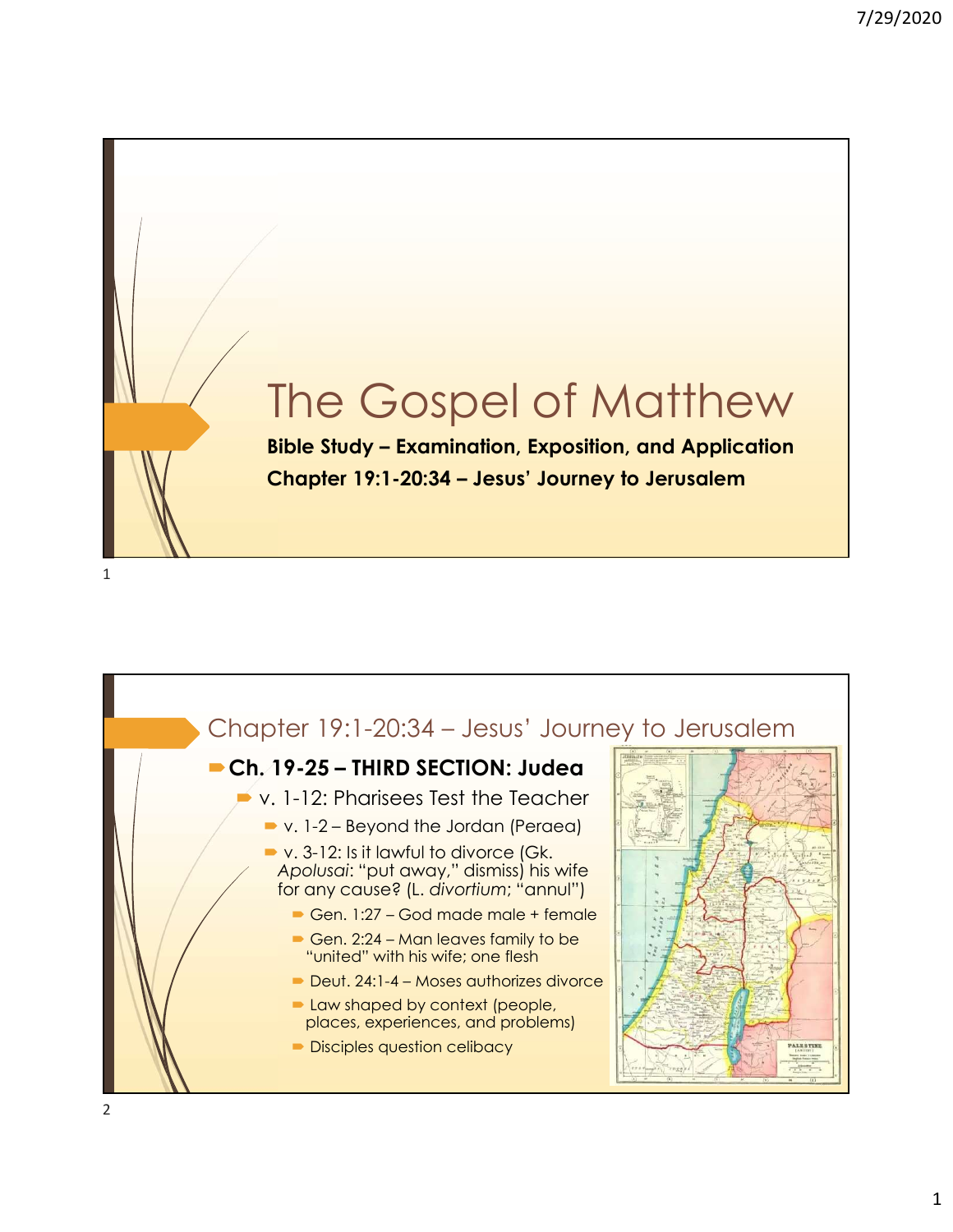